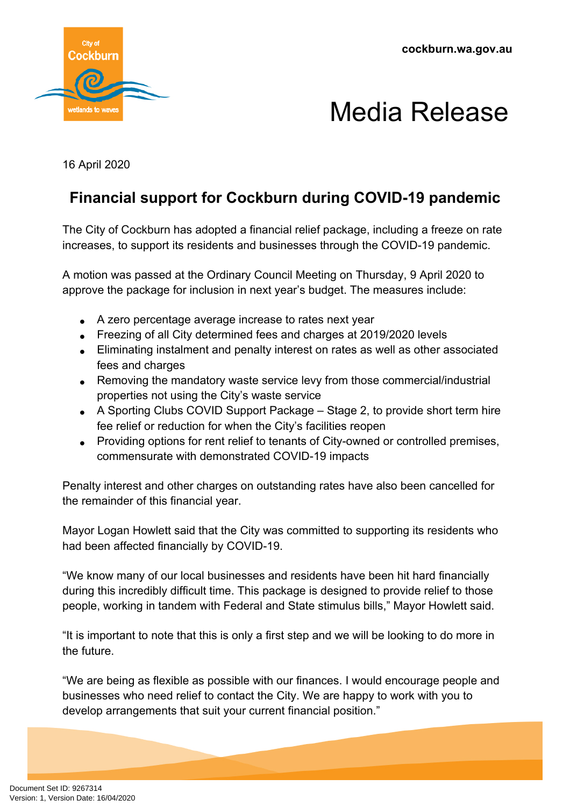

## Media Release

16 April 2020

## **Financial support for Cockburn during COVID-19 pandemic**

The City of Cockburn has adopted a financial relief package, including a freeze on rate increases, to support its residents and businesses through the COVID-19 pandemic.

A motion was passed at the Ordinary Council Meeting on Thursday, 9 April 2020 to approve the package for inclusion in next year's budget. The measures include:

- A zero percentage average increase to rates next year
- Freezing of all City determined fees and charges at 2019/2020 levels
- Eliminating instalment and penalty interest on rates as well as other associated fees and charges
- Removing the mandatory waste service levy from those commercial/industrial properties not using the City's waste service
- A Sporting Clubs COVID Support Package Stage 2, to provide short term hire fee relief or reduction for when the City's facilities reopen
- Providing options for rent relief to tenants of City-owned or controlled premises, commensurate with demonstrated COVID-19 impacts

Penalty interest and other charges on outstanding rates have also been cancelled for the remainder of this financial year.

Mayor Logan Howlett said that the City was committed to supporting its residents who had been affected financially by COVID-19.

"We know many of our local businesses and residents have been hit hard financially during this incredibly difficult time. This package is designed to provide relief to those people, working in tandem with Federal and State stimulus bills," Mayor Howlett said.

"It is important to note that this is only a first step and we will be looking to do more in the future.

"We are being as flexible as possible with our finances. I would encourage people and businesses who need relief to contact the City. We are happy to work with you to develop arrangements that suit your current financial position."